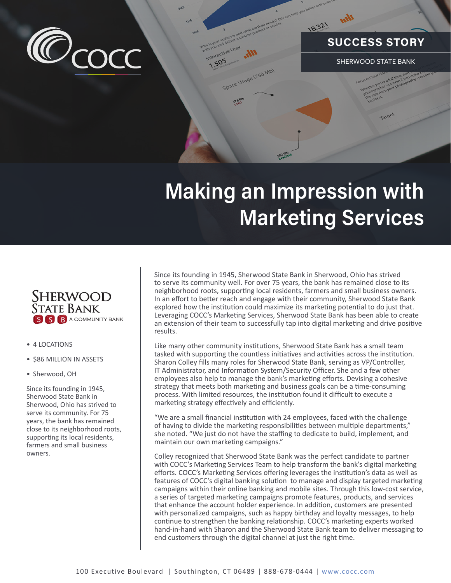

## **SUCCESS STORY**

SHERWOOD STATE BANK

## **Making an Impression with Marketing Services**

Ce Usage (750 Mb)

18.321



- 4 LOCATIONS
- \$86 MILLION IN ASSETS
- Sherwood, OH

Since its founding in 1945, Sherwood State Bank in Sherwood, Ohio has strived to serve its community. For 75 years, the bank has remained close to its neighborhood roots, supporting its local residents, farmers and small business owners.

Since its founding in 1945, Sherwood State Bank in Sherwood, Ohio has strived to serve its community well. For over 75 years, the bank has remained close to its neighborhood roots, supporting local residents, farmers and small business owners. In an effort to better reach and engage with their community, Sherwood State Bank explored how the institution could maximize its marketing potential to do just that. Leveraging COCC's Marketing Services, Sherwood State Bank has been able to create an extension of their team to successfully tap into digital marketing and drive positive results.

Like many other community institutions, Sherwood State Bank has a small team tasked with supporting the countless initiatives and activities across the institution. Sharon Colley fills many roles for Sherwood State Bank, serving as VP/Controller, IT Administrator, and Information System/Security Officer. She and a few other employees also help to manage the bank's marketing efforts. Devising a cohesive strategy that meets both marketing and business goals can be a time-consuming process. With limited resources, the institution found it difficult to execute a marketing strategy effectively and efficiently.

"We are a small financial institution with 24 employees, faced with the challenge of having to divide the marketing responsibilities between multiple departments," she noted. "We just do not have the staffing to dedicate to build, implement, and maintain our own marketing campaigns."

Colley recognized that Sherwood State Bank was the perfect candidate to partner with COCC's Marketing Services Team to help transform the bank's digital marketing efforts. COCC's Marketing Services offering leverages the institution's data as well as features of COCC's digital banking solution to manage and display targeted marketing campaigns within their online banking and mobile sites. Through this low-cost service, a series of targeted marketing campaigns promote features, products, and services that enhance the account holder experience. In addition, customers are presented with personalized campaigns, such as happy birthday and loyalty messages, to help continue to strengthen the banking relationship. COCC's marketing experts worked hand-in-hand with Sharon and the Sherwood State Bank team to deliver messaging to end customers through the digital channel at just the right time.